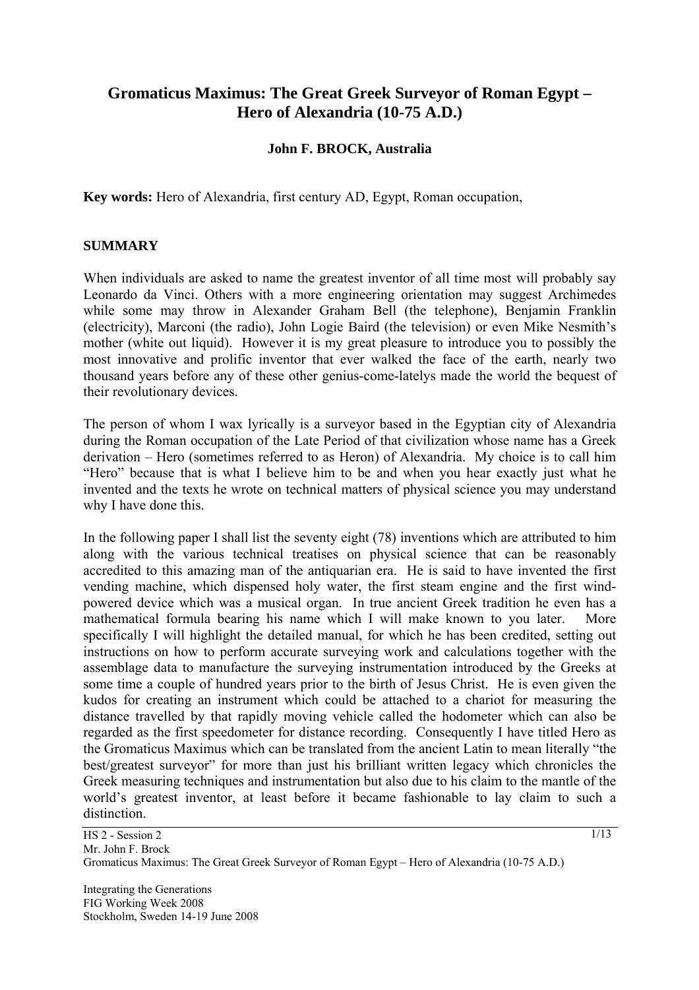# **Gromaticus Maximus: The Great Greek Surveyor of Roman Egypt – Hero of Alexandria (10-75 A.D.)**

### **John F. BROCK, Australia**

**Key words:** Hero of Alexandria, first century AD, Egypt, Roman occupation,

#### **SUMMARY**

When individuals are asked to name the greatest inventor of all time most will probably say Leonardo da Vinci. Others with a more engineering orientation may suggest Archimedes while some may throw in Alexander Graham Bell (the telephone), Benjamin Franklin (electricity), Marconi (the radio), John Logie Baird (the television) or even Mike Nesmith's mother (white out liquid). However it is my great pleasure to introduce you to possibly the most innovative and prolific inventor that ever walked the face of the earth, nearly two thousand years before any of these other genius-come-latelys made the world the bequest of their revolutionary devices.

The person of whom I wax lyrically is a surveyor based in the Egyptian city of Alexandria during the Roman occupation of the Late Period of that civilization whose name has a Greek derivation – Hero (sometimes referred to as Heron) of Alexandria. My choice is to call him "Hero" because that is what I believe him to be and when you hear exactly just what he invented and the texts he wrote on technical matters of physical science you may understand why I have done this.

In the following paper I shall list the seventy eight (78) inventions which are attributed to him along with the various technical treatises on physical science that can be reasonably accredited to this amazing man of the antiquarian era. He is said to have invented the first vending machine, which dispensed holy water, the first steam engine and the first windpowered device which was a musical organ. In true ancient Greek tradition he even has a mathematical formula bearing his name which I will make known to you later. More specifically I will highlight the detailed manual, for which he has been credited, setting out instructions on how to perform accurate surveying work and calculations together with the assemblage data to manufacture the surveying instrumentation introduced by the Greeks at some time a couple of hundred years prior to the birth of Jesus Christ. He is even given the kudos for creating an instrument which could be attached to a chariot for measuring the distance travelled by that rapidly moving vehicle called the hodometer which can also be regarded as the first speedometer for distance recording. Consequently I have titled Hero as the Gromaticus Maximus which can be translated from the ancient Latin to mean literally "the best/greatest surveyor" for more than just his brilliant written legacy which chronicles the Greek measuring techniques and instrumentation but also due to his claim to the mantle of the world's greatest inventor, at least before it became fashionable to lay claim to such a distinction.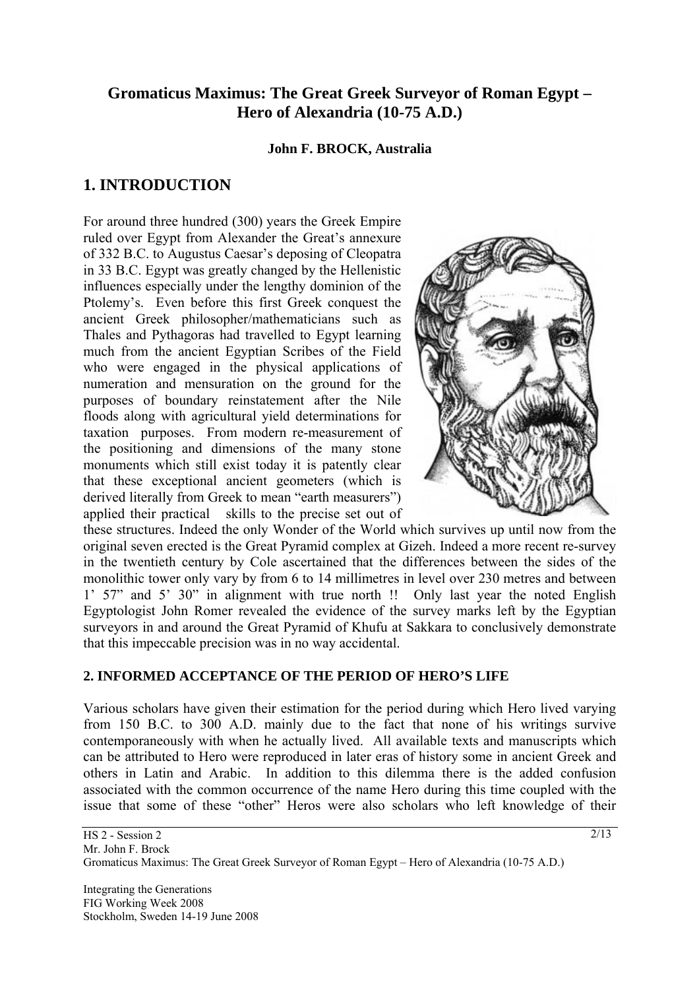# **Gromaticus Maximus: The Great Greek Surveyor of Roman Egypt – Hero of Alexandria (10-75 A.D.)**

#### **John F. BROCK, Australia**

# **1. INTRODUCTION**

For around three hundred (300) years the Greek Empire ruled over Egypt from Alexander the Great's annexure of 332 B.C. to Augustus Caesar's deposing of Cleopatra in 33 B.C. Egypt was greatly changed by the Hellenistic influences especially under the lengthy dominion of the Ptolemy's. Even before this first Greek conquest the ancient Greek philosopher/mathematicians such as Thales and Pythagoras had travelled to Egypt learning much from the ancient Egyptian Scribes of the Field who were engaged in the physical applications of numeration and mensuration on the ground for the purposes of boundary reinstatement after the Nile floods along with agricultural yield determinations for taxation purposes. From modern re-measurement of the positioning and dimensions of the many stone monuments which still exist today it is patently clear that these exceptional ancient geometers (which is derived literally from Greek to mean "earth measurers") applied their practical skills to the precise set out of



these structures. Indeed the only Wonder of the World which survives up until now from the original seven erected is the Great Pyramid complex at Gizeh. Indeed a more recent re-survey in the twentieth century by Cole ascertained that the differences between the sides of the monolithic tower only vary by from 6 to 14 millimetres in level over 230 metres and between 1' 57" and 5' 30" in alignment with true north !! Only last year the noted English Egyptologist John Romer revealed the evidence of the survey marks left by the Egyptian surveyors in and around the Great Pyramid of Khufu at Sakkara to conclusively demonstrate that this impeccable precision was in no way accidental.

### **. INFORMED ACCEPTANCE OF THE PERIOD OF HERO'S LIFE 2**

Various scholars have given their estimation for the period during which Hero lived varying from 150 B.C. to 300 A.D. mainly due to the fact that none of his writings survive contemporaneously with when he actually lived. All available texts and manuscripts which can be attributed to Hero were reproduced in later eras of history some in ancient Greek and others in Latin and Arabic. In addition to this dilemma there is the added confusion associated with the common occurrence of the name Hero during this time coupled with the issue that some of these "other" Heros were also scholars who left knowledge of their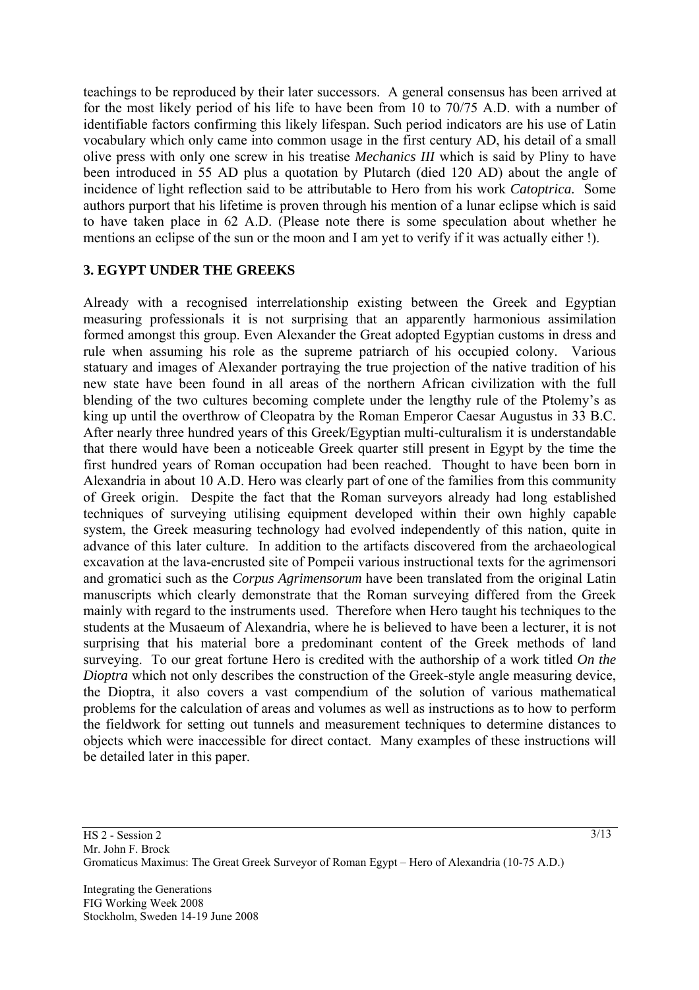teachings to be reproduced by their later successors. A general consensus has been arrived at for the most likely period of his life to have been from 10 to 70/75 A.D. with a number of identifiable factors confirming this likely lifespan. Such period indicators are his use of Latin vocabulary which only came into common usage in the first century AD, his detail of a small olive press with only one screw in his treatise *Mechanics III* which is said by Pliny to have been introduced in 55 AD plus a quotation by Plutarch (died 120 AD) about the angle of incidence of light reflection said to be attributable to Hero from his work *Catoptrica.* Some authors purport that his lifetime is proven through his mention of a lunar eclipse which is said to have taken place in 62 A.D. (Please note there is some speculation about whether he mentions an eclipse of the sun or the moon and I am yet to verify if it was actually either !).

### **. EGYPT UNDER THE GREEKS 3**

Already with a recognised interrelationship existing between the Greek and Egyptian measuring professionals it is not surprising that an apparently harmonious assimilation formed amongst this group. Even Alexander the Great adopted Egyptian customs in dress and rule when assuming his role as the supreme patriarch of his occupied colony. Various statuary and images of Alexander portraying the true projection of the native tradition of his new state have been found in all areas of the northern African civilization with the full blending of the two cultures becoming complete under the lengthy rule of the Ptolemy's as king up until the overthrow of Cleopatra by the Roman Emperor Caesar Augustus in 33 B.C. After nearly three hundred years of this Greek/Egyptian multi-culturalism it is understandable that there would have been a noticeable Greek quarter still present in Egypt by the time the first hundred years of Roman occupation had been reached. Thought to have been born in Alexandria in about 10 A.D. Hero was clearly part of one of the families from this community of Greek origin. Despite the fact that the Roman surveyors already had long established techniques of surveying utilising equipment developed within their own highly capable system, the Greek measuring technology had evolved independently of this nation, quite in advance of this later culture. In addition to the artifacts discovered from the archaeological excavation at the lava-encrusted site of Pompeii various instructional texts for the agrimensori and gromatici such as the *Corpus Agrimensorum* have been translated from the original Latin manuscripts which clearly demonstrate that the Roman surveying differed from the Greek mainly with regard to the instruments used. Therefore when Hero taught his techniques to the students at the Musaeum of Alexandria, where he is believed to have been a lecturer, it is not surprising that his material bore a predominant content of the Greek methods of land surveying. To our great fortune Hero is credited with the authorship of a work titled *On the Dioptra* which not only describes the construction of the Greek-style angle measuring device, the Dioptra, it also covers a vast compendium of the solution of various mathematical problems for the calculation of areas and volumes as well as instructions as to how to perform the fieldwork for setting out tunnels and measurement techniques to determine distances to objects which were inaccessible for direct contact. Many examples of these instructions will be detailed later in this paper.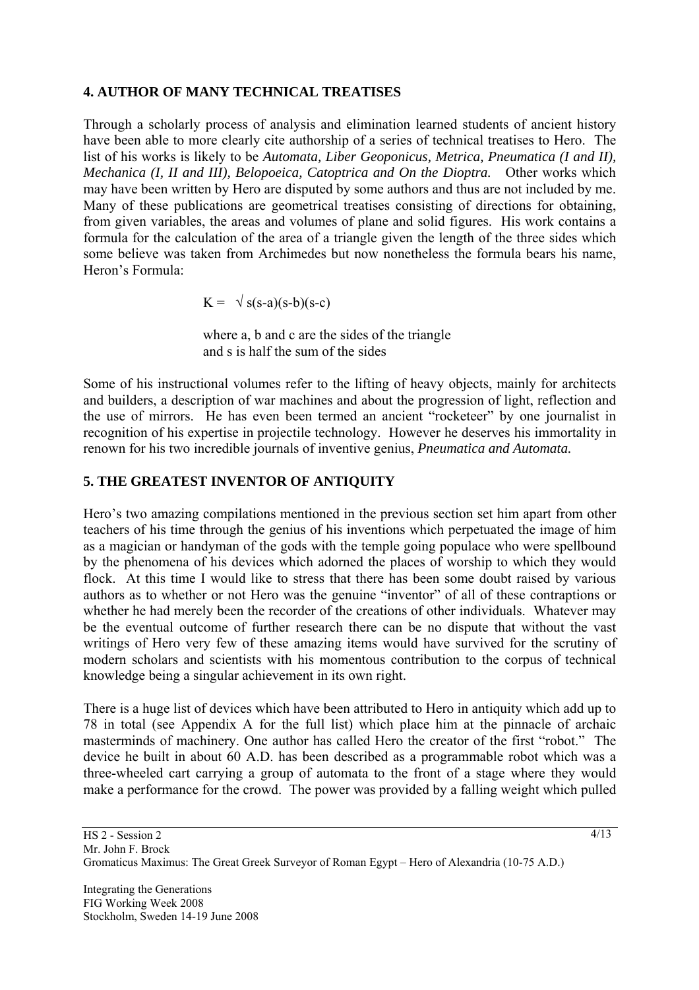### **4. AUTHOR OF MANY TECHNICAL TREATISES**

Through a scholarly process of analysis and elimination learned students of ancient history have been able to more clearly cite authorship of a series of technical treatises to Hero. The list of his works is likely to be *Automata, Liber Geoponicus, Metrica, Pneumatica (I and II), Mechanica (I, II and III), Belopoeica, Catoptrica and On the Dioptra.* Other works which may have been written by Hero are disputed by some authors and thus are not included by me. Many of these publications are geometrical treatises consisting of directions for obtaining, from given variables, the areas and volumes of plane and solid figures. His work contains a formula for the calculation of the area of a triangle given the length of the three sides which some believe was taken from Archimedes but now nonetheless the formula bears his name, Heron's Formula:

 $K = \sqrt{s(s-a)(s-b)(s-c)}$ 

 where a, b and c are the sides of the triangle and s is half the sum of the sides

Some of his instructional volumes refer to the lifting of heavy objects, mainly for architects and builders, a description of war machines and about the progression of light, reflection and the use of mirrors. He has even been termed an ancient "rocketeer" by one journalist in recognition of his expertise in projectile technology. However he deserves his immortality in renown for his two incredible journals of inventive genius, *Pneumatica and Automata.* 

## **5. THE GREATEST INVENTOR OF ANTIQUITY**

Hero's two amazing compilations mentioned in the previous section set him apart from other teachers of his time through the genius of his inventions which perpetuated the image of him as a magician or handyman of the gods with the temple going populace who were spellbound by the phenomena of his devices which adorned the places of worship to which they would flock. At this time I would like to stress that there has been some doubt raised by various authors as to whether or not Hero was the genuine "inventor" of all of these contraptions or whether he had merely been the recorder of the creations of other individuals. Whatever may be the eventual outcome of further research there can be no dispute that without the vast writings of Hero very few of these amazing items would have survived for the scrutiny of modern scholars and scientists with his momentous contribution to the corpus of technical knowledge being a singular achievement in its own right.

There is a huge list of devices which have been attributed to Hero in antiquity which add up to 78 in total (see Appendix A for the full list) which place him at the pinnacle of archaic masterminds of machinery. One author has called Hero the creator of the first "robot." The device he built in about 60 A.D. has been described as a programmable robot which was a three-wheeled cart carrying a group of automata to the front of a stage where they would make a performance for the crowd. The power was provided by a falling weight which pulled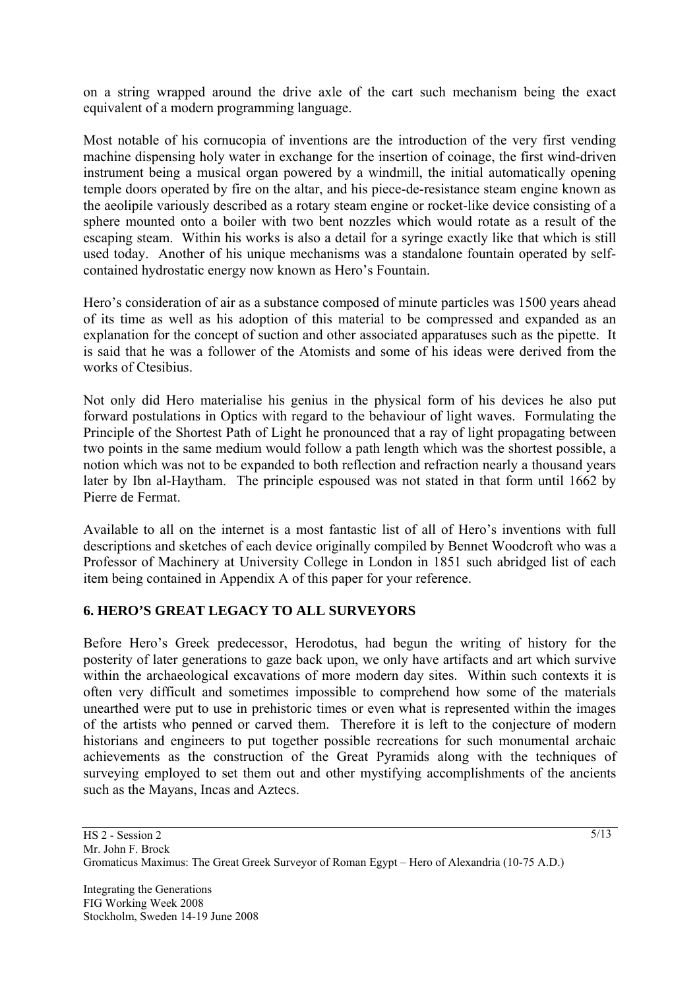on a string wrapped around the drive axle of the cart such mechanism being the exact equivalent of a modern programming language.

Most notable of his cornucopia of inventions are the introduction of the very first vending machine dispensing holy water in exchange for the insertion of coinage, the first wind-driven instrument being a musical organ powered by a windmill, the initial automatically opening temple doors operated by fire on the altar, and his piece-de-resistance steam engine known as the aeolipile variously described as a rotary steam engine or rocket-like device consisting of a sphere mounted onto a boiler with two bent nozzles which would rotate as a result of the escaping steam. Within his works is also a detail for a syringe exactly like that which is still used today. Another of his unique mechanisms was a standalone fountain operated by selfcontained hydrostatic energy now known as Hero's Fountain.

Hero's consideration of air as a substance composed of minute particles was 1500 years ahead of its time as well as his adoption of this material to be compressed and expanded as an explanation for the concept of suction and other associated apparatuses such as the pipette. It is said that he was a follower of the Atomists and some of his ideas were derived from the works of Ctesibius.

Not only did Hero materialise his genius in the physical form of his devices he also put forward postulations in Optics with regard to the behaviour of light waves. Formulating the Principle of the Shortest Path of Light he pronounced that a ray of light propagating between two points in the same medium would follow a path length which was the shortest possible, a notion which was not to be expanded to both reflection and refraction nearly a thousand years later by Ibn al-Haytham. The principle espoused was not stated in that form until 1662 by Pierre de Fermat.

Available to all on the internet is a most fantastic list of all of Hero's inventions with full descriptions and sketches of each device originally compiled by Bennet Woodcroft who was a Professor of Machinery at University College in London in 1851 such abridged list of each item being contained in Appendix A of this paper for your reference.

### **6. HERO'S GREAT LEGACY TO ALL SURVEYORS**

Before Hero's Greek predecessor, Herodotus, had begun the writing of history for the posterity of later generations to gaze back upon, we only have artifacts and art which survive within the archaeological excavations of more modern day sites. Within such contexts it is often very difficult and sometimes impossible to comprehend how some of the materials unearthed were put to use in prehistoric times or even what is represented within the images of the artists who penned or carved them. Therefore it is left to the conjecture of modern historians and engineers to put together possible recreations for such monumental archaic achievements as the construction of the Great Pyramids along with the techniques of surveying employed to set them out and other mystifying accomplishments of the ancients such as the Mayans, Incas and Aztecs.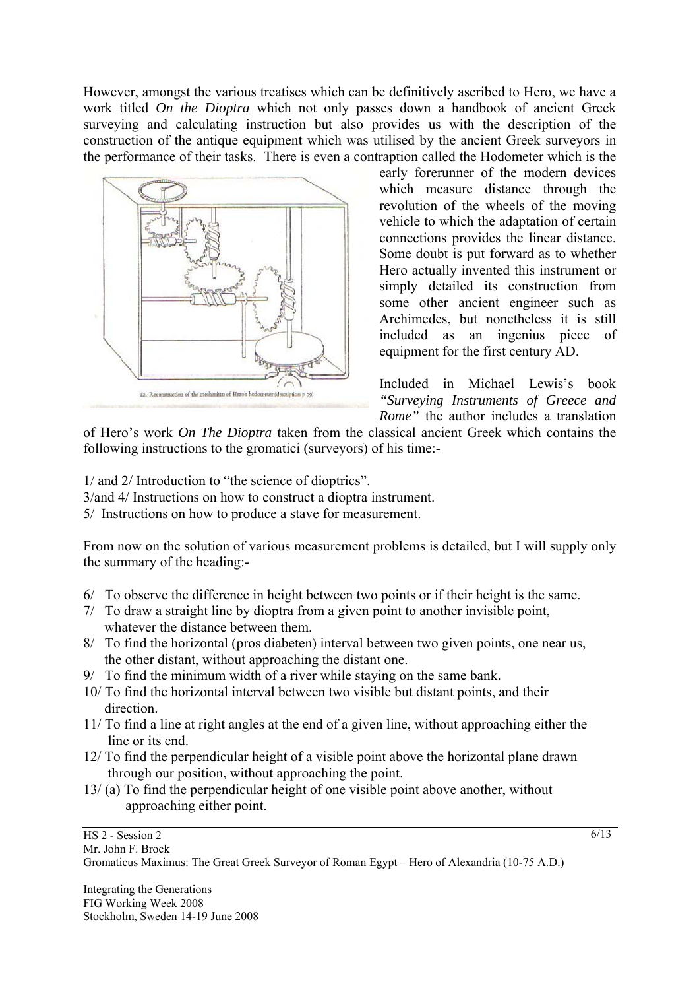the performance of their tasks. There is even a contraption called the Hodometer which is the However, amongst the various treatises which can be definitively ascribed to Hero, we have a work titled *On the Dioptra* which not only passes down a handbook of ancient Greek surveying and calculating instruction but also provides us with the description of the construction of the antique equipment which was utilised by the ancient Greek surveyors in



early forerunner of the modern devices which measure distance through the revolution of the wheels of the moving vehicle to which the adaptation of certain connections provides the linear distance. Some doubt is put forward as to whether Hero actually invented this instrument or simply detailed its construction from some other ancient engineer such as Archimedes, but nonetheless it is still included as an ingenius piece of equipment for the first century AD.

Included in Michael Lewis's book *Surveying Instruments of Greece and " Rome*" the author includes a translation

of Hero's work *On The Dioptra* taken from the classical ancient Greek which contains the following instructions to the gromatici (surveyors) of his time:-

1/ and 2/ Introduction to "the science of dioptrics".

3/and 4/ Instructions on how to construct a dioptra instrument.

5/ Instructions on how to produce a stave for measurement.

From now on the solution of various measurement problems is detailed, but I will supply only the summary of the heading:-

- / To observe the difference in height between two points or if their height is the same. 6
- 7/ To draw a straight line by dioptra from a given point to another invisible point, whatever the distance between them.
- 8/ To find the horizontal (pros diabeten) interval between two given points, one near us, the other distant, without approaching the distant one.
- $9/$  To find the minimum width of a river while staying on the same bank.
- 10/ To find the horizontal interval between two visible but distant points, and their direction.
- 11/ To find a line at right angles at the end of a given line, without approaching either the line or its end.
- 12/ To find the perpendicular height of a visible point above the horizontal plane drawn through our position, without approaching the point.
- $13/$  (a) To find the perpendicular height of one visible point above another, without approaching either point.

HS 2 - Session 2 Mr. John F. Brock Gromaticus Maximus: The Great Greek Surveyor of Roman Egypt – Hero of Alexandria (10-75 A.D.)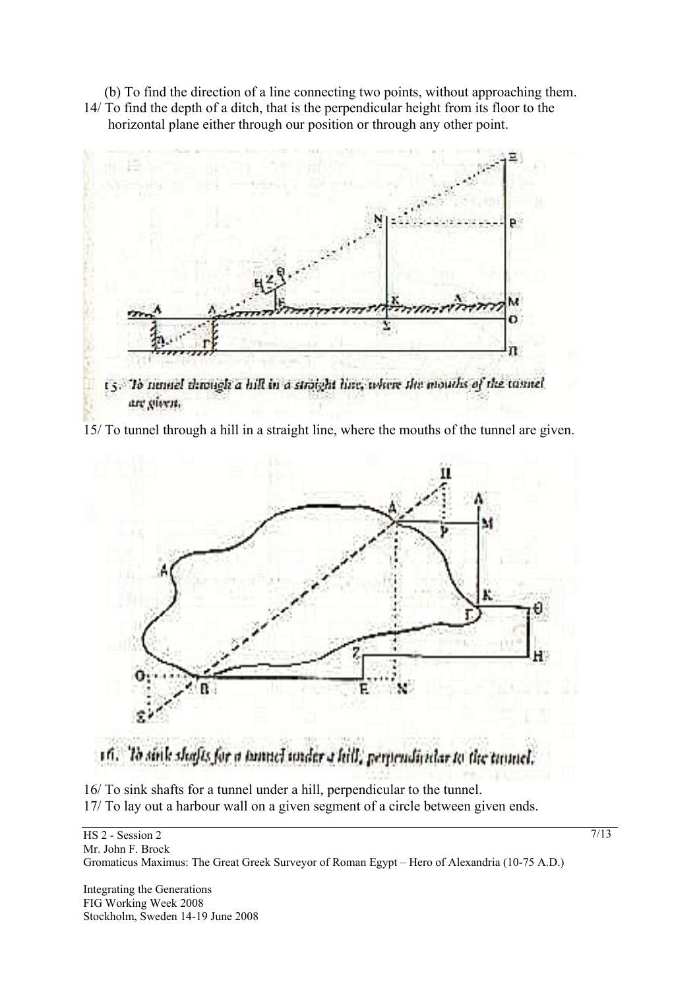(b) To find the direction of a line connecting two points, without approaching them. 14/ To find the depth of a ditch, that is the perpendicular height from its floor to the horizontal plane either through our position or through any other point.



t 5. To neared through a hill in a stronght line, where the mouths of the connel are given.

15/ To tunnel through a hill in a straight line, where the mouths of the tunnel are given.



16/ To sink shafts for a tunnel under a hill, perpendicular to the tunnel. 17/ To lay out a harbour wall on a given segment of a circle between given ends.

HS 2 - Session 2 Mr. John F. Brock Gromaticus Maximus: The Great Greek Surveyor of Roman Egypt – Hero of Alexandria (10-75 A.D.)

Integrating the Generations FIG Working Week 2008 Stockholm, Sweden 14-19 June 2008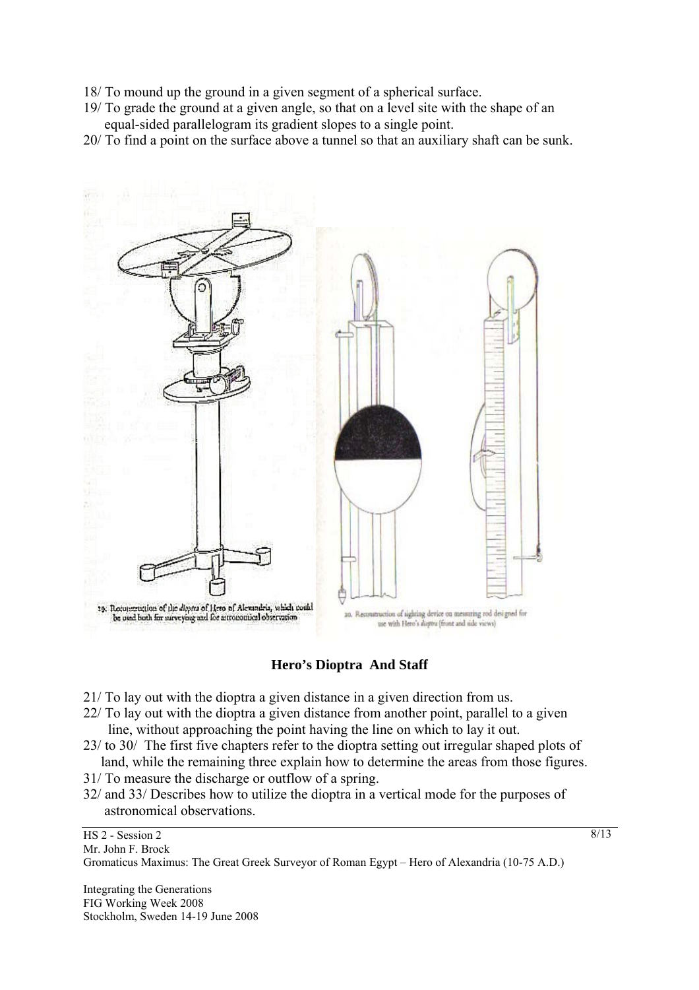- 18/ To mound up the ground in a given segment of a spherical surface.
- 19/ To grade the ground at a given angle, so that on a level site with the shape of an equal-sided parallelogram its gradient slopes to a single point.
- 20/ To find a point on the surface above a tunnel so that an auxiliary shaft can be sunk.



#### **Hero's Dioptra And Staff**

- 21/ To lay out with the dioptra a given distance in a given direction from us.
- 22/ To lay out with the dioptra a given distance from another point, parallel to a given line, without approaching the point having the line on which to lay it out.
- $23/$  to  $30/$  The first five chapters refer to the dioptra setting out irregular shaped plots of land, while the remaining three explain how to determine the areas from those figures.
- 31/ To measure the discharge or outflow of a spring.
- 32/ and 33/ Describes how to utilize the dioptra in a vertical mode for the purposes of astronomical observations.

HS 2 - Session 2 Mr. John F. Brock Gromaticus Maximus: The Great Greek Surveyor of Roman Egypt – Hero of Alexandria (10-75 A.D.)

Integrating the Generations FIG Working Week 2008 Stockholm, Sweden 14-19 June 2008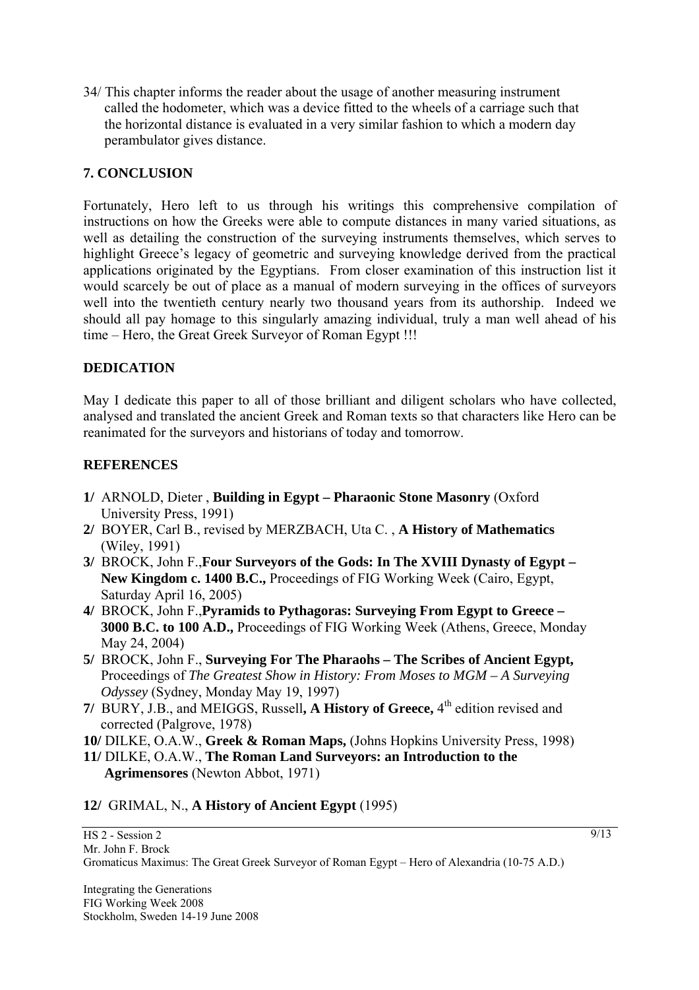34/ This chapter informs the reader about the usage of another measuring instrument called the hodometer, which was a device fitted to the wheels of a carriage such that the horizontal distance is evaluated in a very similar fashion to which a modern day perambulator gives distance.

## **. CONCLUSION 7**

Fortunately, Hero left to us through his writings this comprehensive compilation of instructions on how the Greeks were able to compute distances in many varied situations, as well as detailing the construction of the surveying instruments themselves, which serves to highlight Greece's legacy of geometric and surveying knowledge derived from the practical applications originated by the Egyptians. From closer examination of this instruction list it would scarcely be out of place as a manual of modern surveying in the offices of surveyors well into the twentieth century nearly two thousand years from its authorship. Indeed we should all pay homage to this singularly amazing individual, truly a man well ahead of his time – Hero, the Great Greek Surveyor of Roman Egypt !!!

## **DEDICATION**

May I dedicate this paper to all of those brilliant and diligent scholars who have collected, analysed and translated the ancient Greek and Roman texts so that characters like Hero can be reanimated for the surveyors and historians of today and tomorrow.

### **EFERENCES R**

- **/** ARNOLD, Dieter , **Building in Egypt Pharaonic Stone Masonry** (Oxford **1** University Press, 1991)
- 2/ BOYER, Carl B., revised by MERZBACH, Uta C., A History of Mathematics (Wiley, 1991)
- 3/ BROCK, John F., Four Surveyors of the Gods: In The XVIII Dynasty of Egypt  **New Kingdom c. 1400 B.C.,** Proceedings of FIG Working Week (Cairo, Egypt, Saturday April 16, 2005)
- 4/ BROCK, John F., Pyramids to Pythagoras: Surveying From Egypt to Greece -**3000 B.C. to 100 A.D.,** Proceedings of FIG Working Week (Athens, Greece, Monday May 24, 2004)
- 5/ BROCK, John F., Surveying For The Pharaohs The Scribes of Ancient Egypt, Proceedings of *The Greatest Show in History: From Moses to MGM – A Surveying Odyssey* (Sydney, Monday May 19, 1997)
- 7/ BURY, J.B., and MEIGGS, Russell, A History of Greece, 4<sup>th</sup> edition revised and corrected (Palgrove, 1978)
- **10/ DILKE, O.A.W., Greek & Roman Maps,** (Johns Hopkins University Press, 1998)
- **11/** DILKE, O.A.W., **The Roman Land Surveyors: an Introduction to the Agrimensores** (Newton Abbot, 1971)

#### 12/ GRIMAL, N., **A History of Ancient Egypt** (1995)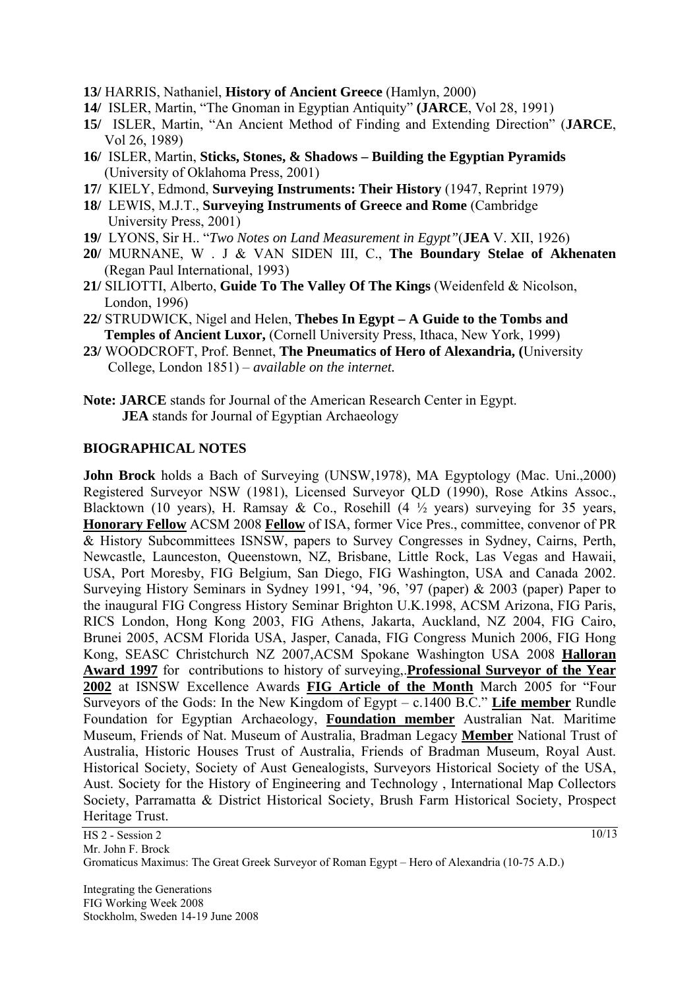- 13/ HARRIS, Nathaniel, History of Ancient Greece (Hamlyn, 2000)
- 14/ ISLER, Martin, "The Gnoman in Egyptian Antiquity" (JARCE, Vol 28, 1991)
- 15/ ISLER, Martin, "An Ancient Method of Finding and Extending Direction" (JARCE, Vol 26, 1989)
- 16/ ISLER, Martin, Sticks, Stones, & Shadows Building the Egyptian Pyramids (University of Oklahoma Press, 2001)
- 17/ KIELY, Edmond, **Surveying Instruments: Their History** (1947, Reprint 1979)
- **18/** LEWIS, M.J.T., **Surveying Instruments of Greece and Rome** (Cambridge University Press, 2001)
- 19/ LYONS, Sir H.. "Two Notes on Land Measurement in Egypt" (JEA V. XII, 1926)
- 20/ MURNANE, W . J & VAN SIDEN III, C., **The Boundary Stelae of Akhenaten** (Regan Paul International, 1993)
- 21/ SILIOTTI, Alberto, Guide To The Valley Of The Kings (Weidenfeld & Nicolson, London, 1996)
- 22/ STRUDWICK, Nigel and Helen, **Thebes In Egypt A Guide to the Tombs and Temples of Ancient Luxor,** *(Cornell University Press, Ithaca, New York, 1999)*
- **23/** WOODCROFT, Prof. Bennet, **The Pneumatics of Hero of Alexandria, (**University College, London 1851) – *available on the internet.*
- Note: JARCE stands for Journal of the American Research Center in Egypt. **JEA** stands for Journal of Egyptian Archaeology

#### **IOGRAPHICAL NOTES B**

John Brock holds a Bach of Surveying (UNSW, 1978), MA Egyptology (Mac. Uni., 2000) Registered Surveyor NSW (1981), Licensed Surveyor QLD (1990), Rose Atkins Assoc., Blacktown (10 years), H. Ramsay & Co., Rosehill (4  $\frac{1}{2}$  years) surveying for 35 years, **Honorary Fellow** ACSM 2008 **Fellow** of ISA, former Vice Pres., committee, convenor of PR & History Subcommittees ISNSW, papers to Survey Congresses in Sydney, Cairns, Perth, Newcastle, Launceston, Queenstown, NZ, Brisbane, Little Rock, Las Vegas and Hawaii, USA, Port Moresby, FIG Belgium, San Diego, FIG Washington, USA and Canada 2002. Surveying History Seminars in Sydney 1991, '94, '96, '97 (paper) & 2003 (paper) Paper to the inaugural FIG Congress History Seminar Brighton U.K.1998, ACSM Arizona, FIG Paris, RICS London, Hong Kong 2003, FIG Athens, Jakarta, Auckland, NZ 2004, FIG Cairo, Brunei 2005, ACSM Florida USA, Jasper, Canada, FIG Congress Munich 2006, FIG Hong Kong, SEASC Christchurch NZ 2007,ACSM Spokane Washington USA 2008 **Halloran Award 1997** for contributions to history of surveying,.**Professional Surveyor of the Year 2002** at ISNSW Excellence Awards **FIG Article of the Month** March 2005 for "Four Surveyors of the Gods: In the New Kingdom of Egypt – c.1400 B.C." **Life member** Rundle Foundation for Egyptian Archaeology, **Foundation member** Australian Nat. Maritime Museum, Friends of Nat. Museum of Australia, Bradman Legacy **Member** National Trust of Australia, Historic Houses Trust of Australia, Friends of Bradman Museum, Royal Aust. Historical Society, Society of Aust Genealogists, Surveyors Historical Society of the USA, Aust. Society for the History of Engineering and Technology , International Map Collectors Society, Parramatta & District Historical Society, Brush Farm Historical Society, Prospect Heritage Trust.

HS 2 - Session 2 Mr. John F. Brock Gromaticus Maximus: The Great Greek Surveyor of Roman Egypt – Hero of Alexandria (10-75 A.D.)

Integrating the Generations FIG Working Week 2008 Stockholm, Sweden 14-19 June 2008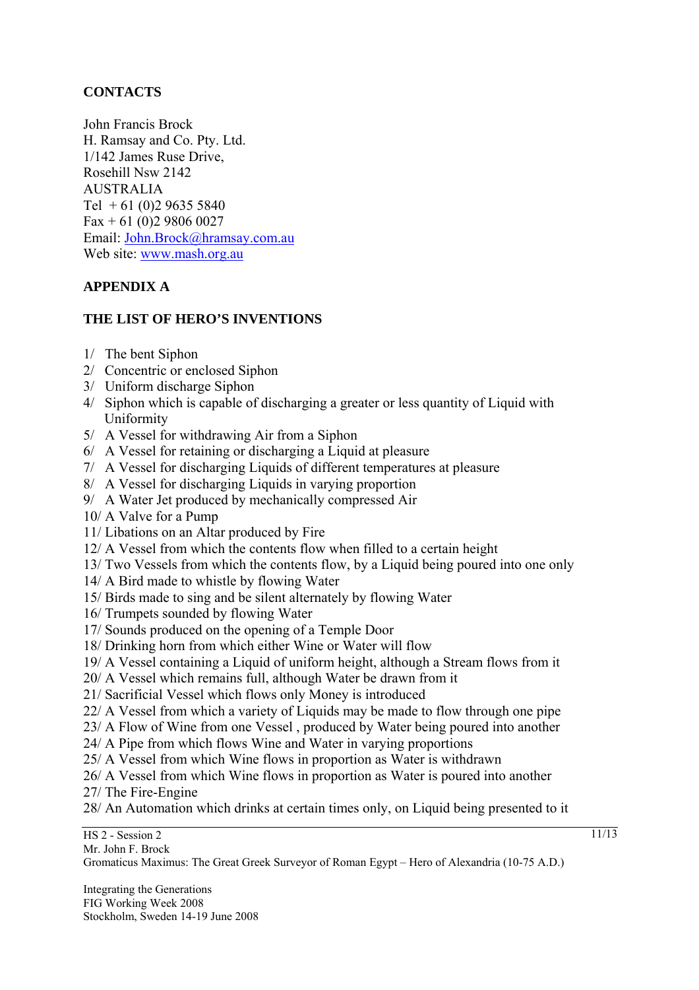# **CONTACTS**

John Francis Brock H. Ramsay and Co. Pty. Ltd. 1/142 James Ruse Drive, Tel  $+61$  (0)2 9635 5840  $Fax + 61 (0)2 9806 0027$ Email: John.Brock@hramsay.com.au Rosehill Nsw 2142 AUSTRALIA Web site: www.mash.org.au

# **APPENDIX A**

## **THE LIST OF HERO'S INVENTIONS**

- 1/ The bent Siphon
- 2/ Concentric or enclosed Siphon
- 3/ Uniform discharge Siphon
- 4/ Siphon which is capable of discharging a greater or less quantity of Liquid with Uniformity
- 5/ A Vessel for withdrawing Air from a Siphon
- $6/$  A Vessel for retaining or discharging a Liquid at pleasure
- 7/ A Vessel for discharging Liquids of different temperatures at pleasure
- 8/ A Vessel for discharging Liquids in varying proportion
- 9/ A Water Jet produced by mechanically compressed Air
- 10/ A Valve for a Pump
- 11/ Libations on an Altar produced by Fire
- $12/A$  Vessel from which the contents flow when filled to a certain height
- 13/ Two Vessels from which the contents flow, by a Liquid being poured into one only
- 14/ A Bird made to whistle by flowing Water
- 15/ Birds made to sing and be silent alternately by flowing Water
- 16/ Trumpets sounded by flowing Water
- 17/ Sounds produced on the opening of a Temple Door
- 18/ Drinking horn from which either Wine or Water will flow
- 19/ A Vessel containing a Liquid of uniform height, although a Stream flows from it
- 20/ A Vessel which remains full, although Water be drawn from it
- 21/ Sacrificial Vessel which flows only Money is introduced
- 22/ A Vessel from which a variety of Liquids may be made to flow through one pipe
- 23/ A Flow of Wine from one Vessel, produced by Water being poured into another
- 24/ A Pipe from which flows Wine and Water in varying proportions
- 25/ A Vessel from which Wine flows in proportion as Water is withdrawn
- 26/ A Vessel from which Wine flows in proportion as Water is poured into another
- 27/ The Fire-Engine
- 28/ An Automation which drinks at certain times only, on Liquid being presented to it

#### HS 2 - Session 2 Mr. John F. Brock Gromaticus Maximus: The Great Greek Surveyor of Roman Egypt – Hero of Alexandria (10-75 A.D.)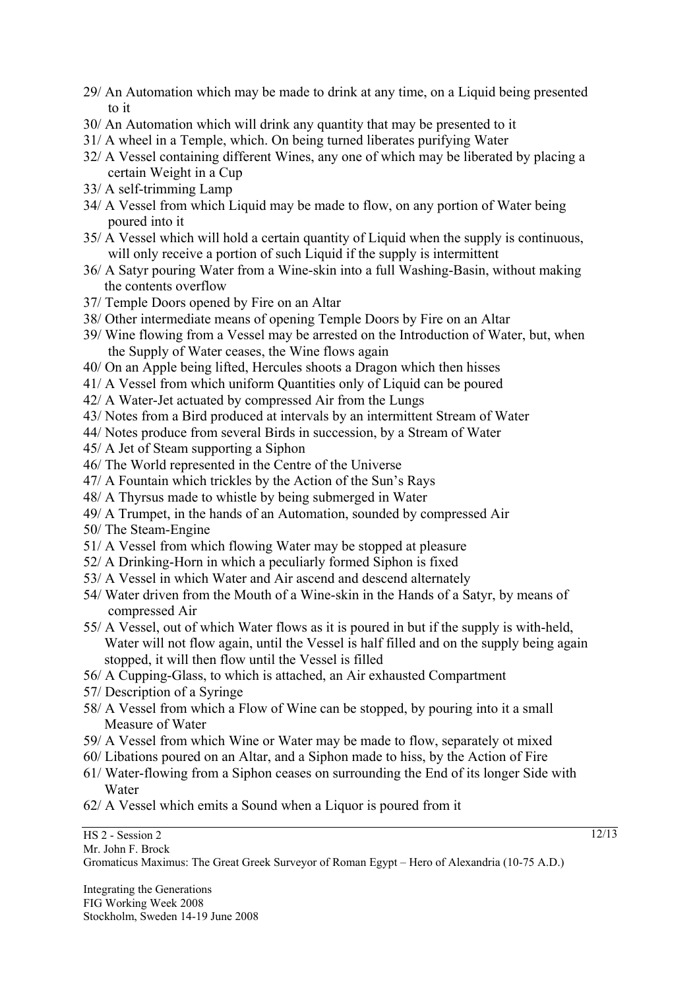- 29/ An Automation which may be made to drink at any time, on a Liquid being presented to it
- 30/ An Automation which will drink any quantity that may be presented to it
- 31/ A wheel in a Temple, which. On being turned liberates purifying Water
- 32/ A Vessel containing different Wines, any one of which may be liberated by placing a certain Weight in a Cup
- 33/ A self-trimming Lamp
- 34/ A Vessel from which Liquid may be made to flow, on any portion of Water being poured into it
- 35/ A Vessel which will hold a certain quantity of Liquid when the supply is continuous, will only receive a portion of such Liquid if the supply is intermittent
- 36/ A Satyr pouring Water from a Wine-skin into a full Washing-Basin, without making the contents overflow
- 37/ Temple Doors opened by Fire on an Altar
- 38/ Other intermediate means of opening Temple Doors by Fire on an Altar
- 39/ Wine flowing from a Vessel may be arrested on the Introduction of Water, but, when the Supply of Water ceases, the Wine flows again
- 40/ On an Apple being lifted, Hercules shoots a Dragon which then hisses
- 41/ A Vessel from which uniform Quantities only of Liquid can be poured
- 42/ A Water-Jet actuated by compressed Air from the Lungs
- 43/ Notes from a Bird produced at intervals by an intermittent Stream of Water
- 44/ Notes produce from several Birds in succession, by a Stream of Water
- 45/ A Jet of Steam supporting a Siphon
- 46/ The World represented in the Centre of the Universe
- 47/ A Fountain which trickles by the Action of the Sun's Rays
- 48/ A Thyrsus made to whistle by being submerged in Water
- 49/ A Trumpet, in the hands of an Automation, sounded by compressed Air
- 50/ The Steam-Engine
- 51/ A Vessel from which flowing Water may be stopped at pleasure
- 52/ A Drinking-Horn in which a peculiarly formed Siphon is fixed
- 53/ A Vessel in which Water and Air ascend and descend alternately
- 54/ Water driven from the Mouth of a Wine-skin in the Hands of a Satyr, by means of compressed Air
- Water will not flow again, until the Vessel is half filled and on the supply being again 55/ A Vessel, out of which Water flows as it is poured in but if the supply is with-held, stopped, it will then flow until the Vessel is filled
- 56/ A Cupping-Glass, to which is attached, an Air exhausted Compartment
- 57/ Description of a Syringe
- 58/ A Vessel from which a Flow of Wine can be stopped, by pouring into it a small Measure of Water
- 59/ A Vessel from which Wine or Water may be made to flow, separately ot mixed
- 60/ Libations poured on an Altar, and a Siphon made to hiss, by the Action of Fire
- 61/ Water-flowing from a Siphon ceases on surrounding the End of its longer Side with Water
- 62/ A Vessel which emits a Sound when a Liquor is poured from it

#### HS 2 - Session 2 Mr. John F. Brock Gromaticus Maximus: The Great Greek Surveyor of Roman Egypt – Hero of Alexandria (10-75 A.D.)